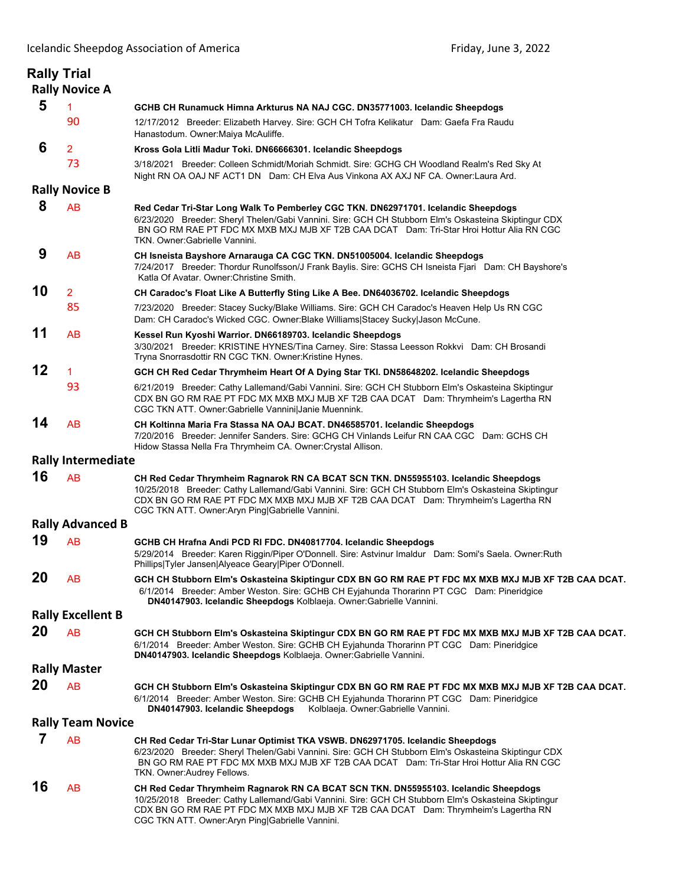|                          | <b>Rally Trial</b><br><b>Rally Novice A</b> |                                                                                                                                                                                                                                                                                                                                       |
|--------------------------|---------------------------------------------|---------------------------------------------------------------------------------------------------------------------------------------------------------------------------------------------------------------------------------------------------------------------------------------------------------------------------------------|
| 5                        | 1                                           | GCHB CH Runamuck Himna Arkturus NA NAJ CGC. DN35771003. Icelandic Sheepdogs                                                                                                                                                                                                                                                           |
|                          | 90                                          | 12/17/2012 Breeder: Elizabeth Harvey. Sire: GCH CH Tofra Kelikatur Dam: Gaefa Fra Raudu<br>Hanastodum. Owner: Maiya McAuliffe.                                                                                                                                                                                                        |
| 6                        | $\overline{2}$                              | Kross Gola Litli Madur Toki. DN66666301. Icelandic Sheepdogs                                                                                                                                                                                                                                                                          |
|                          | 73                                          | 3/18/2021 Breeder: Colleen Schmidt/Moriah Schmidt. Sire: GCHG CH Woodland Realm's Red Sky At<br>Night RN OA OAJ NF ACT1 DN Dam: CH Elva Aus Vinkona AX AXJ NF CA. Owner: Laura Ard.                                                                                                                                                   |
| <b>Rally Novice B</b>    |                                             |                                                                                                                                                                                                                                                                                                                                       |
| 8                        | AB                                          | Red Cedar Tri-Star Long Walk To Pemberley CGC TKN. DN62971701. Icelandic Sheepdogs<br>6/23/2020 Breeder: Sheryl Thelen/Gabi Vannini. Sire: GCH CH Stubborn Elm's Oskasteina Skiptingur CDX<br>BN GO RM RAE PT FDC MX MXB MXJ MJB XF T2B CAA DCAT Dam: Tri-Star Hroi Hottur Alia RN CGC<br>TKN. Owner: Gabrielle Vannini.              |
| 9                        | <b>AB</b>                                   | CH Isneista Bayshore Arnarauga CA CGC TKN. DN51005004. Icelandic Sheepdogs<br>7/24/2017 Breeder: Thordur Runolfsson/J Frank Baylis. Sire: GCHS CH Isneista Fjari Dam: CH Bayshore's<br>Katla Of Avatar, Owner: Christine Smith.                                                                                                       |
| 10                       | $\overline{2}$                              | CH Caradoc's Float Like A Butterfly Sting Like A Bee. DN64036702. Icelandic Sheepdogs                                                                                                                                                                                                                                                 |
|                          | 85                                          | 7/23/2020 Breeder: Stacey Sucky/Blake Williams. Sire: GCH CH Caradoc's Heaven Help Us RN CGC<br>Dam: CH Caradoc's Wicked CGC. Owner:Blake Williams Stacey Sucky Jason McCune.                                                                                                                                                         |
| 11                       | AB                                          | Kessel Run Kyoshi Warrior. DN66189703. Icelandic Sheepdogs<br>3/30/2021 Breeder: KRISTINE HYNES/Tina Carney. Sire: Stassa Leesson Rokkvi Dam: CH Brosandi<br>Tryna Snorrasdottir RN CGC TKN. Owner: Kristine Hynes.                                                                                                                   |
| 12                       | 1                                           | GCH CH Red Cedar Thrymheim Heart Of A Dying Star TKI. DN58648202. Icelandic Sheepdogs                                                                                                                                                                                                                                                 |
|                          | 93                                          | 6/21/2019 Breeder: Cathy Lallemand/Gabi Vannini. Sire: GCH CH Stubborn Elm's Oskasteina Skiptingur<br>CDX BN GO RM RAE PT FDC MX MXB MXJ MJB XF T2B CAA DCAT Dam: Thrymheim's Lagertha RN<br>CGC TKN ATT. Owner:Gabrielle Vannini Janie Muennink.                                                                                     |
| 14                       | AB                                          | CH Koltinna Maria Fra Stassa NA OAJ BCAT. DN46585701. Icelandic Sheepdogs<br>7/20/2016 Breeder: Jennifer Sanders. Sire: GCHG CH Vinlands Leifur RN CAA CGC Dam: GCHS CH<br>Hidow Stassa Nella Fra Thrymheim CA. Owner: Crystal Allison.                                                                                               |
|                          | <b>Rally Intermediate</b>                   |                                                                                                                                                                                                                                                                                                                                       |
| 16                       | AB                                          | CH Red Cedar Thrymheim Ragnarok RN CA BCAT SCN TKN. DN55955103. Icelandic Sheepdogs<br>10/25/2018 Breeder: Cathy Lallemand/Gabi Vannini. Sire: GCH CH Stubborn Elm's Oskasteina Skiptingur<br>CDX BN GO RM RAE PT FDC MX MXB MXJ MJB XF T2B CAA DCAT Dam: Thrymheim's Lagertha RN<br>CGC TKN ATT. Owner: Aryn Ping Gabrielle Vannini. |
| <b>Rally Advanced B</b>  |                                             |                                                                                                                                                                                                                                                                                                                                       |
| 19                       | <b>AB</b>                                   | GCHB CH Hrafna Andi PCD RI FDC. DN40817704. Icelandic Sheepdogs<br>5/29/2014 Breeder: Karen Riggin/Piper O'Donnell. Sire: Astvinur Imaldur Dam: Somi's Saela. Owner: Ruth<br>Phillips Tyler Jansen Alyeace Geary Piper O'Donnell.                                                                                                     |
| 20                       | AB                                          | GCH CH Stubborn Elm's Oskasteina Skiptingur CDX BN GO RM RAE PT FDC MX MXB MXJ MJB XF T2B CAA DCAT.<br>6/1/2014 Breeder: Amber Weston. Sire: GCHB CH Eyjahunda Thorarinn PT CGC Dam: Pineridgice<br>DN40147903. Icelandic Sheepdogs Kolblaeja. Owner: Gabrielle Vannini.                                                              |
| <b>Rally Excellent B</b> |                                             |                                                                                                                                                                                                                                                                                                                                       |
| 20                       | <b>AB</b>                                   | GCH CH Stubborn Elm's Oskasteina Skiptingur CDX BN GO RM RAE PT FDC MX MXB MXJ MJB XF T2B CAA DCAT.<br>6/1/2014 Breeder: Amber Weston. Sire: GCHB CH Eyjahunda Thorarinn PT CGC Dam: Pineridgice<br>DN40147903. Icelandic Sheepdogs Kolblaeja. Owner: Gabrielle Vannini.                                                              |
| <b>Rally Master</b>      |                                             |                                                                                                                                                                                                                                                                                                                                       |
| 20                       | <b>AB</b>                                   | GCH CH Stubborn Elm's Oskasteina Skiptingur CDX BN GO RM RAE PT FDC MX MXB MXJ MJB XF T2B CAA DCAT.<br>6/1/2014 Breeder: Amber Weston. Sire: GCHB CH Eyjahunda Thorarinn PT CGC Dam: Pineridgice<br>DN40147903. Icelandic Sheepdogs<br>Kolblaeja. Owner: Gabrielle Vannini.                                                           |
| <b>Rally Team Novice</b> |                                             |                                                                                                                                                                                                                                                                                                                                       |
| 7                        | <b>AB</b>                                   | CH Red Cedar Tri-Star Lunar Optimist TKA VSWB. DN62971705. Icelandic Sheepdogs<br>6/23/2020 Breeder: Sheryl Thelen/Gabi Vannini. Sire: GCH CH Stubborn Elm's Oskasteina Skiptingur CDX<br>BN GO RM RAE PT FDC MX MXB MXJ MJB XF T2B CAA DCAT Dam: Tri-Star Hroi Hottur Alia RN CGC<br>TKN. Owner: Audrey Fellows.                     |
| 16                       | <b>AB</b>                                   | CH Red Cedar Thrymheim Ragnarok RN CA BCAT SCN TKN. DN55955103. Icelandic Sheepdogs<br>10/25/2018 Breeder: Cathy Lallemand/Gabi Vannini. Sire: GCH CH Stubborn Elm's Oskasteina Skiptingur<br>CDX BN GO RM RAE PT FDC MX MXB MXJ MJB XF T2B CAA DCAT Dam: Thrymheim's Lagertha RN<br>CGC TKN ATT. Owner: Aryn Ping Gabrielle Vannini. |